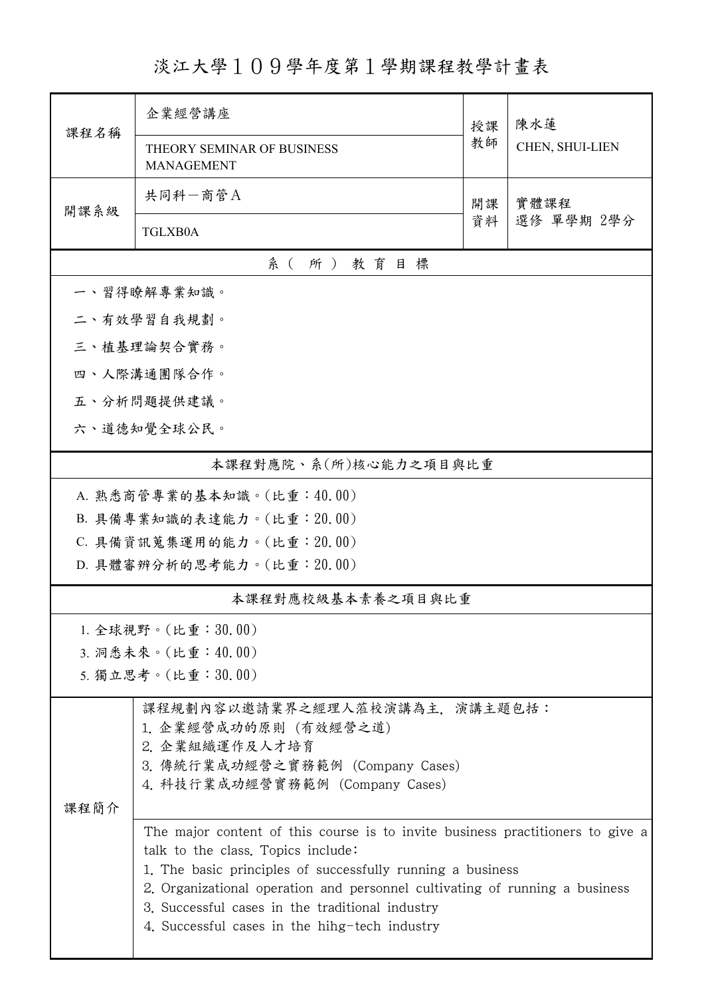## 淡江大學109學年度第1學期課程教學計畫表

| 課程名稱                       | 企業經營講座                                                                                                               |          | 陳水蓮                |  |  |  |  |
|----------------------------|----------------------------------------------------------------------------------------------------------------------|----------|--------------------|--|--|--|--|
|                            | THEORY SEMINAR OF BUSINESS<br><b>MANAGEMENT</b>                                                                      | 教師       | CHEN, SHUI-LIEN    |  |  |  |  |
| 開課系級                       | 共同科一商管A                                                                                                              | 開課<br>資料 | 實體課程<br>選修 單學期 2學分 |  |  |  |  |
|                            | <b>TGLXB0A</b>                                                                                                       |          |                    |  |  |  |  |
| 系(所)教育目標                   |                                                                                                                      |          |                    |  |  |  |  |
| 一、習得瞭解專業知識。                |                                                                                                                      |          |                    |  |  |  |  |
|                            | 二、有效學習自我規劃。                                                                                                          |          |                    |  |  |  |  |
|                            | 三、植基理論契合實務。                                                                                                          |          |                    |  |  |  |  |
|                            | 四、人際溝通團隊合作。                                                                                                          |          |                    |  |  |  |  |
|                            | 五、分析問題提供建議。                                                                                                          |          |                    |  |  |  |  |
| 六、道德知覺全球公民。                |                                                                                                                      |          |                    |  |  |  |  |
| 本課程對應院、系(所)核心能力之項目與比重      |                                                                                                                      |          |                    |  |  |  |  |
|                            | A. 熟悉商管專業的基本知識。(比重:40.00)                                                                                            |          |                    |  |  |  |  |
|                            | B. 具備專業知識的表達能力。(比重: 20.00)                                                                                           |          |                    |  |  |  |  |
| C. 具備資訊蒐集運用的能力。(比重: 20.00) |                                                                                                                      |          |                    |  |  |  |  |
| D. 具體審辨分析的思考能力。(比重: 20.00) |                                                                                                                      |          |                    |  |  |  |  |
|                            | 本課程對應校級基本素養之項目與比重                                                                                                    |          |                    |  |  |  |  |
|                            | 1. 全球視野。(比重:30.00)                                                                                                   |          |                    |  |  |  |  |
|                            | 3. 洞悉未來。(比重:40.00)                                                                                                   |          |                    |  |  |  |  |
|                            | 5. 獨立思考。(比重:30.00)                                                                                                   |          |                    |  |  |  |  |
|                            | 課程規劃內容以邀請業界之經理人蒞校演講為主,演講主題包括:                                                                                        |          |                    |  |  |  |  |
|                            | 1. 企業經營成功的原則 (有效經營之道)<br>2. 企業組織運作及人才培育                                                                              |          |                    |  |  |  |  |
|                            | 3. 傳統行業成功經營之實務範例 (Company Cases)                                                                                     |          |                    |  |  |  |  |
|                            | 4. 科技行業成功經營實務範例 (Company Cases)                                                                                      |          |                    |  |  |  |  |
| 課程簡介                       |                                                                                                                      |          |                    |  |  |  |  |
|                            | The major content of this course is to invite business practitioners to give a<br>talk to the class. Topics include: |          |                    |  |  |  |  |
|                            | 1. The basic principles of successfully running a business                                                           |          |                    |  |  |  |  |
|                            | 2. Organizational operation and personnel cultivating of running a business                                          |          |                    |  |  |  |  |
|                            | 3. Successful cases in the traditional industry<br>4. Successful cases in the hihg-tech industry                     |          |                    |  |  |  |  |
|                            |                                                                                                                      |          |                    |  |  |  |  |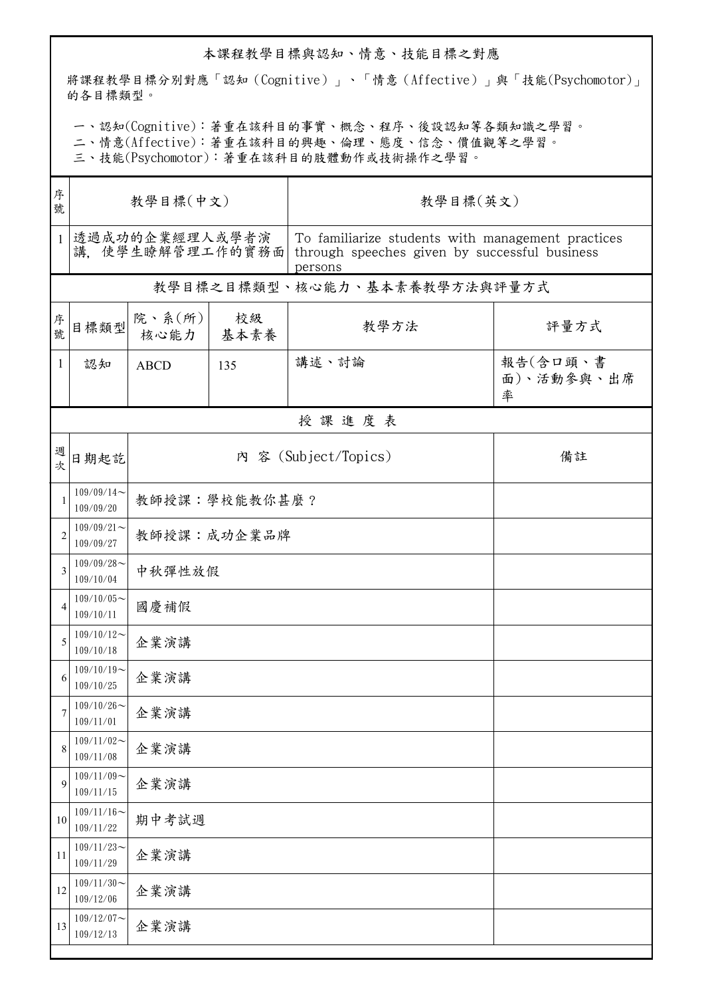## 本課程教學目標與認知、情意、技能目標之對應

將課程教學目標分別對應「認知(Cognitive)」、「情意(Affective)」與「技能(Psychomotor)」 的各目標類型。

一、認知(Cognitive):著重在該科目的事實、概念、程序、後設認知等各類知識之學習。

二、情意(Affective):著重在該科目的興趣、倫理、態度、信念、價值觀等之學習。

三、技能(Psychomotor):著重在該科目的肢體動作或技術操作之學習。

| 序<br>號         | 教學目標(中文)                          |                |            | 教學目標(英文)                                                                                                      |                             |  |  |  |  |
|----------------|-----------------------------------|----------------|------------|---------------------------------------------------------------------------------------------------------------|-----------------------------|--|--|--|--|
| $\mathbf{1}$   | 透過成功的企業經理人或學者演<br>講、使學生瞭解管理工作的實務面 |                |            | To familiarize students with management practices<br>through speeches given by successful business<br>persons |                             |  |  |  |  |
|                |                                   |                |            | 教學目標之目標類型、核心能力、基本素養教學方法與評量方式                                                                                  |                             |  |  |  |  |
| 序號             | 目標類型                              | 院、系(所)<br>核心能力 | 校級<br>基本素養 | 教學方法                                                                                                          | 評量方式                        |  |  |  |  |
| $\mathbf{1}$   | 認知                                | <b>ABCD</b>    | 135        | 講述、討論                                                                                                         | 報告(含口頭、書<br>面)、活動參與、出席<br>率 |  |  |  |  |
|                | 授課進度表                             |                |            |                                                                                                               |                             |  |  |  |  |
| 週次             | 日期起訖                              |                |            | 內 容 (Subject/Topics)                                                                                          | 備註                          |  |  |  |  |
| $\overline{1}$ | $109/09/14$ ~<br>109/09/20        | 教師授課:學校能教你甚麼?  |            |                                                                                                               |                             |  |  |  |  |
| $\overline{2}$ | $109/09/21$ ~<br>109/09/27        | 教師授課:成功企業品牌    |            |                                                                                                               |                             |  |  |  |  |
| 3              | $109/09/28$ ~<br>109/10/04        | 中秋彈性放假         |            |                                                                                                               |                             |  |  |  |  |
| $\overline{4}$ | $109/10/05$ ~<br>109/10/11        | 國慶補假           |            |                                                                                                               |                             |  |  |  |  |
| 5              | $109/10/12$ ~<br>109/10/18        | 企業演講           |            |                                                                                                               |                             |  |  |  |  |
| 6              | $109/10/19$ ~<br>109/10/25        | 企業演講           |            |                                                                                                               |                             |  |  |  |  |
| 7              | $109/10/26$ ~<br>109/11/01        | 企業演講           |            |                                                                                                               |                             |  |  |  |  |
| 8              | $109/11/02$ ~<br>109/11/08        | 企業演講           |            |                                                                                                               |                             |  |  |  |  |
| 9              | $109/11/09$ ~<br>109/11/15        | 企業演講           |            |                                                                                                               |                             |  |  |  |  |
| 10             | $109/11/16$ ~<br>109/11/22        | 期中考試週          |            |                                                                                                               |                             |  |  |  |  |
| 11             | $109/11/23$ ~<br>109/11/29        | 企業演講           |            |                                                                                                               |                             |  |  |  |  |
| 12             | $109/11/30$ ~<br>109/12/06        | 企業演講           |            |                                                                                                               |                             |  |  |  |  |
| 13             | $109/12/07$ ~<br>109/12/13        | 企業演講           |            |                                                                                                               |                             |  |  |  |  |